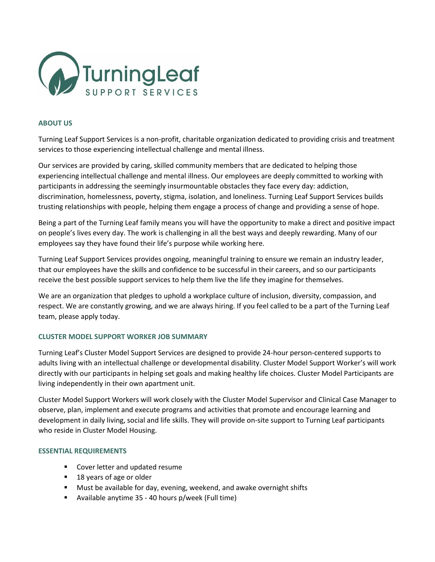

#### **ABOUT US**

Turning Leaf Support Services is a non-profit, charitable organization dedicated to providing crisis and treatment services to those experiencing intellectual challenge and mental illness.

Our services are provided by caring, skilled community members that are dedicated to helping those experiencing intellectual challenge and mental illness. Our employees are deeply committed to working with participants in addressing the seemingly insurmountable obstacles they face every day: addiction, discrimination, homelessness, poverty, stigma, isolation, and loneliness. Turning Leaf Support Services builds trusting relationships with people, helping them engage a process of change and providing a sense of hope.

Being a part of the Turning Leaf family means you will have the opportunity to make a direct and positive impact on people's lives every day. The work is challenging in all the best ways and deeply rewarding. Many of our employees say they have found their life's purpose while working here.

Turning Leaf Support Services provides ongoing, meaningful training to ensure we remain an industry leader, that our employees have the skills and confidence to be successful in their careers, and so our participants receive the best possible support services to help them live the life they imagine for themselves.

We are an organization that pledges to uphold a workplace culture of inclusion, diversity, compassion, and respect. We are constantly growing, and we are always hiring. If you feel called to be a part of the Turning Leaf team, please apply today.

# **CLUSTER MODEL SUPPORT WORKER JOB SUMMARY**

Turning Leaf's Cluster Model Support Services are designed to provide 24-hour person-centered supports to adults living with an intellectual challenge or developmental disability. Cluster Model Support Worker's will work directly with our participants in helping set goals and making healthy life choices. Cluster Model Participants are living independently in their own apartment unit.

Cluster Model Support Workers will work closely with the Cluster Model Supervisor and Clinical Case Manager to observe, plan, implement and execute programs and activities that promote and encourage learning and development in daily living, social and life skills. They will provide on-site support to Turning Leaf participants who reside in Cluster Model Housing.

#### **ESSENTIAL REQUIREMENTS**

- Cover letter and updated resume
- 18 years of age or older
- Must be available for day, evening, weekend, and awake overnight shifts
- Available anytime 35 40 hours p/week (Full time)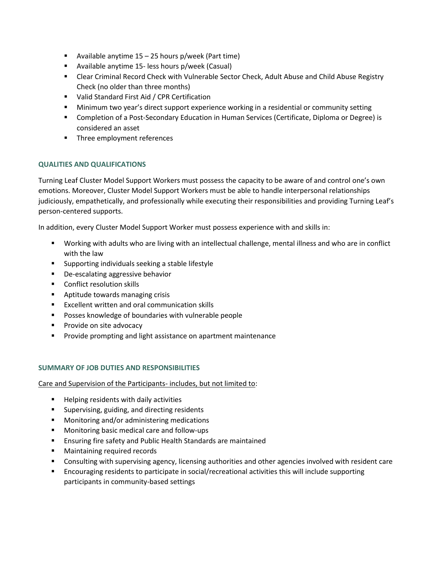- **E** Available anytime  $15 25$  hours p/week (Part time)
- Available anytime 15- less hours p/week (Casual)
- Clear Criminal Record Check with Vulnerable Sector Check, Adult Abuse and Child Abuse Registry Check (no older than three months)
- Valid Standard First Aid / CPR Certification
- **■** Minimum two year's direct support experience working in a residential or community setting
- Completion of a Post-Secondary Education in Human Services (Certificate, Diploma or Degree) is considered an asset
- Three employment references

## **QUALITIES AND QUALIFICATIONS**

Turning Leaf Cluster Model Support Workers must possess the capacity to be aware of and control one's own emotions. Moreover, Cluster Model Support Workers must be able to handle interpersonal relationships judiciously, empathetically, and professionally while executing their responsibilities and providing Turning Leaf's person-centered supports.

In addition, every Cluster Model Support Worker must possess experience with and skills in:

- Working with adults who are living with an intellectual challenge, mental illness and who are in conflict with the law
- Supporting individuals seeking a stable lifestyle
- De-escalating aggressive behavior
- Conflict resolution skills
- Aptitude towards managing crisis
- Excellent written and oral communication skills
- Posses knowledge of boundaries with vulnerable people
- Provide on site advocacy
- Provide prompting and light assistance on apartment maintenance

#### **SUMMARY OF JOB DUTIES AND RESPONSIBILITIES**

Care and Supervision of the Participants- includes, but not limited to:

- Helping residents with daily activities
- Supervising, guiding, and directing residents
- Monitoring and/or administering medications
- Monitoring basic medical care and follow-ups
- Ensuring fire safety and Public Health Standards are maintained
- Maintaining required records
- Consulting with supervising agency, licensing authorities and other agencies involved with resident care
- Encouraging residents to participate in social/recreational activities this will include supporting participants in community-based settings